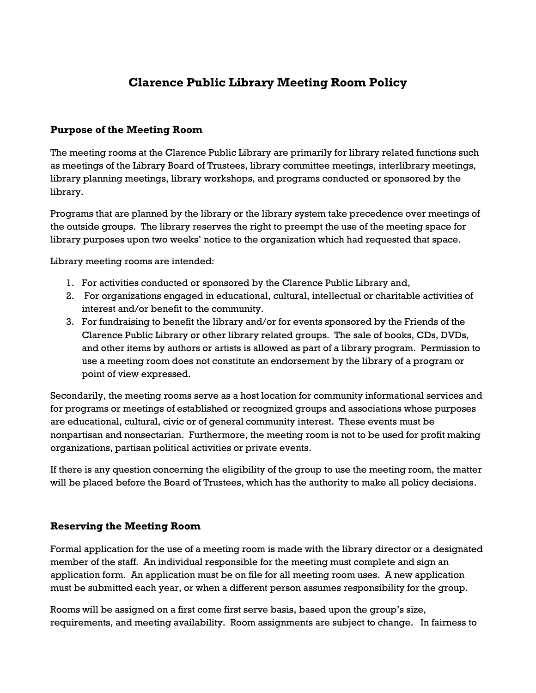# **Clarence Public Library Meeting Room Policy**

### **Purpose of the Meeting Room**

The meeting rooms at the Clarence Public Library are primarily for library related functions such as meetings of the Library Board of Trustees, library committee meetings, interlibrary meetings, library planning meetings, library workshops, and programs conducted or sponsored by the library.

Programs that are planned by the library or the library system take precedence over meetings of the outside groups. The library reserves the right to preempt the use of the meeting space for library purposes upon two weeks' notice to the organization which had requested that space.

Library meeting rooms are intended:

- 1. For activities conducted or sponsored by the Clarence Public Library and,
- 2. For organizations engaged in educational, cultural, intellectual or charitable activities of interest and/or benefit to the community.
- 3. For fundraising to benefit the library and/or for events sponsored by the Friends of the Clarence Public Library or other library related groups. The sale of books, CDs, DVDs, and other items by authors or artists is allowed as part of a library program. Permission to use a meeting room does not constitute an endorsement by the library of a program or point of view expressed.

Secondarily, the meeting rooms serve as a host location for community informational services and for programs or meetings of established or recognized groups and associations whose purposes are educational, cultural, civic or of general community interest. These events must be nonpartisan and nonsectarian. Furthermore, the meeting room is not to be used for profit making organizations, partisan political activities or private events.

If there is any question concerning the eligibility of the group to use the meeting room, the matter will be placed before the Board of Trustees, which has the authority to make all policy decisions.

#### **Reserving the Meeting Room**

Formal application for the use of a meeting room is made with the library director or a designated member of the staff. An individual responsible for the meeting must complete and sign an application form. An application must be on file for all meeting room uses. A new application must be submitted each year, or when a different person assumes responsibility for the group.

Rooms will be assigned on a first come first serve basis, based upon the group's size, requirements, and meeting availability. Room assignments are subject to change. In fairness to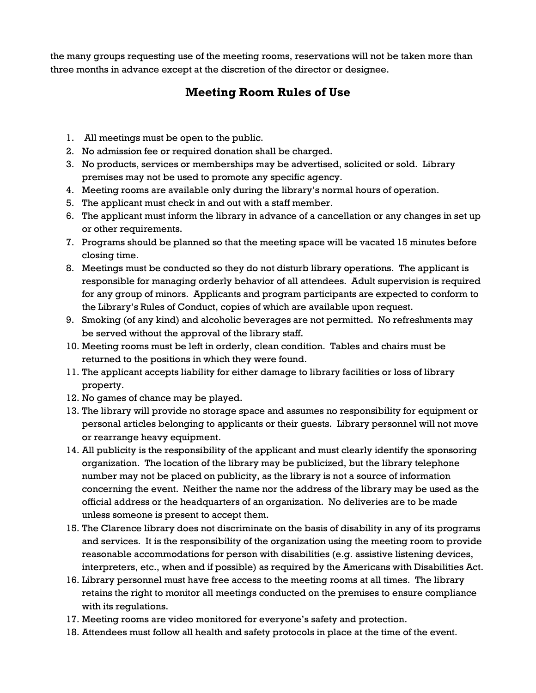the many groups requesting use of the meeting rooms, reservations will not be taken more than three months in advance except at the discretion of the director or designee.

## **Meeting Room Rules of Use**

- 1. All meetings must be open to the public.
- 2. No admission fee or required donation shall be charged.
- 3. No products, services or memberships may be advertised, solicited or sold. Library premises may not be used to promote any specific agency.
- 4. Meeting rooms are available only during the library's normal hours of operation.
- 5. The applicant must check in and out with a staff member.
- 6. The applicant must inform the library in advance of a cancellation or any changes in set up or other requirements.
- 7. Programs should be planned so that the meeting space will be vacated 15 minutes before closing time.
- 8. Meetings must be conducted so they do not disturb library operations. The applicant is responsible for managing orderly behavior of all attendees. Adult supervision is required for any group of minors. Applicants and program participants are expected to conform to the Library's Rules of Conduct, copies of which are available upon request.
- 9. Smoking (of any kind) and alcoholic beverages are not permitted. No refreshments may be served without the approval of the library staff.
- 10. Meeting rooms must be left in orderly, clean condition. Tables and chairs must be returned to the positions in which they were found.
- 11. The applicant accepts liability for either damage to library facilities or loss of library property.
- 12. No games of chance may be played.
- 13. The library will provide no storage space and assumes no responsibility for equipment or personal articles belonging to applicants or their guests. Library personnel will not move or rearrange heavy equipment.
- 14. All publicity is the responsibility of the applicant and must clearly identify the sponsoring organization. The location of the library may be publicized, but the library telephone number may not be placed on publicity, as the library is not a source of information concerning the event. Neither the name nor the address of the library may be used as the official address or the headquarters of an organization. No deliveries are to be made unless someone is present to accept them.
- 15. The Clarence library does not discriminate on the basis of disability in any of its programs and services. It is the responsibility of the organization using the meeting room to provide reasonable accommodations for person with disabilities (e.g. assistive listening devices, interpreters, etc., when and if possible) as required by the Americans with Disabilities Act.
- 16. Library personnel must have free access to the meeting rooms at all times. The library retains the right to monitor all meetings conducted on the premises to ensure compliance with its regulations.
- 17. Meeting rooms are video monitored for everyone's safety and protection.
- 18. Attendees must follow all health and safety protocols in place at the time of the event.